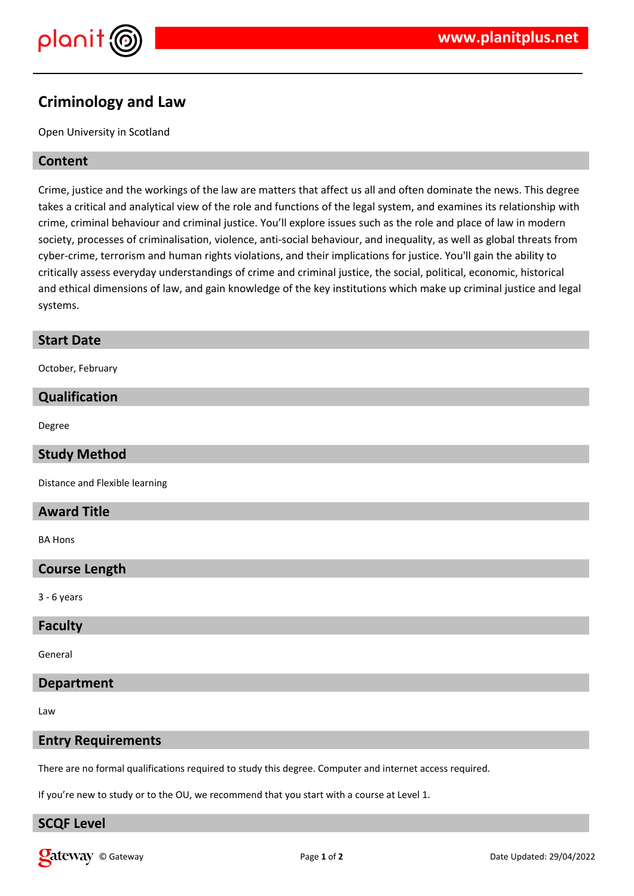

# **Criminology and Law**

Open University in Scotland

# **Content**

Crime, justice and the workings of the law are matters that affect us all and often dominate the news. This degree takes a critical and analytical view of the role and functions of the legal system, and examines its relationship with crime, criminal behaviour and criminal justice. You'll explore issues such as the role and place of law in modern society, processes of criminalisation, violence, anti-social behaviour, and inequality, as well as global threats from cyber-crime, terrorism and human rights violations, and their implications for justice. You'll gain the ability to critically assess everyday understandings of crime and criminal justice, the social, political, economic, historical and ethical dimensions of law, and gain knowledge of the key institutions which make up criminal justice and legal systems.

#### **Start Date**

October, February

## **Qualification**

Degree

# **Study Method**

Distance and Flexible learning

## **Award Title**

BA Hons

# **Course Length**

3 - 6 years

# **Faculty**

General

#### **Department**

Law

# **Entry Requirements**

There are no formal qualifications required to study this degree. Computer and internet access required.

If you're new to study or to the OU, we recommend that you start with a course at Level 1.

# **SCQF Level**

**Online Category Contracts** Page 1 of 2 **Page 1** of 2 **Date Updated: 29/04/2022**